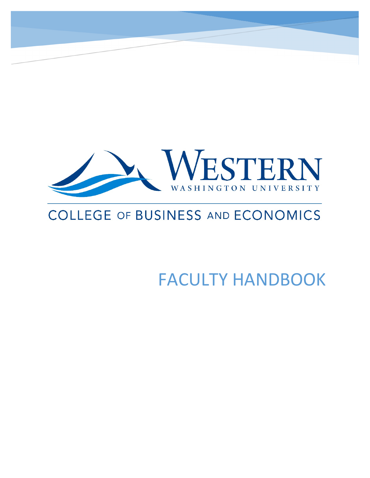

# **COLLEGE OF BUSINESS AND ECONOMICS**

FACULTY HANDBOOK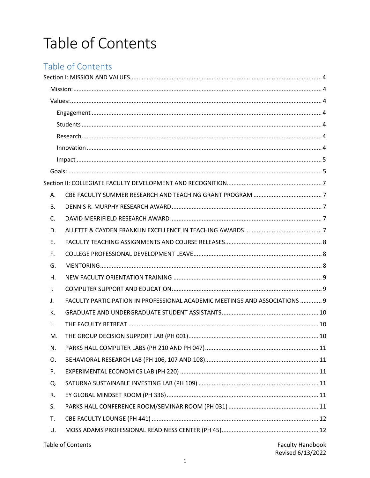# Table of Contents

## Table of Contents

| А. |                                                                             |                         |  |
|----|-----------------------------------------------------------------------------|-------------------------|--|
| В. |                                                                             |                         |  |
| C. |                                                                             |                         |  |
| D. |                                                                             |                         |  |
| Ε. |                                                                             |                         |  |
| F. |                                                                             |                         |  |
| G. |                                                                             |                         |  |
| Η. |                                                                             |                         |  |
| Τ. |                                                                             |                         |  |
| J. | FACULTY PARTICIPATION IN PROFESSIONAL ACADEMIC MEETINGS AND ASSOCIATIONS  9 |                         |  |
| К. |                                                                             |                         |  |
| L. |                                                                             |                         |  |
| M. |                                                                             |                         |  |
| N. |                                                                             |                         |  |
| О. |                                                                             |                         |  |
| P. |                                                                             |                         |  |
| Q. |                                                                             |                         |  |
| R. |                                                                             |                         |  |
| S. |                                                                             |                         |  |
| T. |                                                                             |                         |  |
| U. |                                                                             |                         |  |
|    | Table of Contents                                                           | <b>Faculty Handbook</b> |  |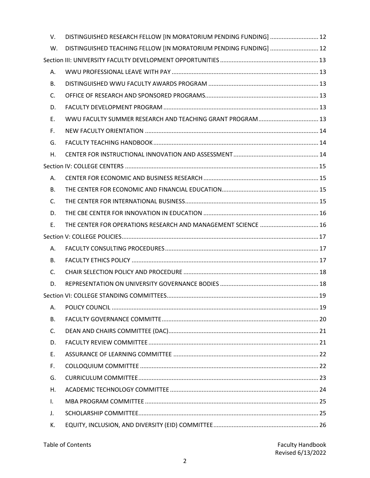| V.             | DISTINGUISHED RESEARCH FELLOW [IN MORATORIUM PENDING FUNDING]  12 |  |  |  |
|----------------|-------------------------------------------------------------------|--|--|--|
| W.             | DISTINGUISHED TEACHING FELLOW [IN MORATORIUM PENDING FUNDING]  12 |  |  |  |
|                |                                                                   |  |  |  |
| А.             |                                                                   |  |  |  |
| В.             |                                                                   |  |  |  |
| $\mathsf{C}$ . |                                                                   |  |  |  |
| D.             |                                                                   |  |  |  |
| Е.             | WWU FACULTY SUMMER RESEARCH AND TEACHING GRANT PROGRAM 13         |  |  |  |
| F.             |                                                                   |  |  |  |
| G.             |                                                                   |  |  |  |
| Η.             |                                                                   |  |  |  |
|                |                                                                   |  |  |  |
| Α.             |                                                                   |  |  |  |
| В.             |                                                                   |  |  |  |
| C.             |                                                                   |  |  |  |
| D.             |                                                                   |  |  |  |
| E.             | THE CENTER FOR OPERATIONS RESEARCH AND MANAGEMENT SCIENCE  16     |  |  |  |
|                |                                                                   |  |  |  |
| А.             |                                                                   |  |  |  |
| В.             |                                                                   |  |  |  |
| C.             |                                                                   |  |  |  |
|                |                                                                   |  |  |  |
| D.             |                                                                   |  |  |  |
|                |                                                                   |  |  |  |
| А.             |                                                                   |  |  |  |
| В.             |                                                                   |  |  |  |
| C.             |                                                                   |  |  |  |
| D.             |                                                                   |  |  |  |
| Е.             |                                                                   |  |  |  |
| F.             |                                                                   |  |  |  |
| G.             |                                                                   |  |  |  |
| Η.             |                                                                   |  |  |  |
| $\mathsf{L}$   |                                                                   |  |  |  |
| J.             |                                                                   |  |  |  |

| <b>Table of Contents</b> |  |
|--------------------------|--|
|--------------------------|--|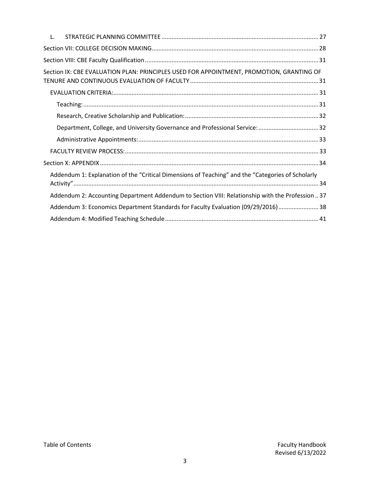| L.                                                                                                |
|---------------------------------------------------------------------------------------------------|
|                                                                                                   |
|                                                                                                   |
| Section IX: CBE EVALUATION PLAN: PRINCIPLES USED FOR APPOINTMENT, PROMOTION, GRANTING OF          |
|                                                                                                   |
|                                                                                                   |
|                                                                                                   |
| Department, College, and University Governance and Professional Service: 32                       |
|                                                                                                   |
|                                                                                                   |
|                                                                                                   |
| Addendum 1: Explanation of the "Critical Dimensions of Teaching" and the "Categories of Scholarly |
| Addendum 2: Accounting Department Addendum to Section VIII: Relationship with the Profession  37  |
| Addendum 3: Economics Department Standards for Faculty Evaluation (09/29/2016) 38                 |
|                                                                                                   |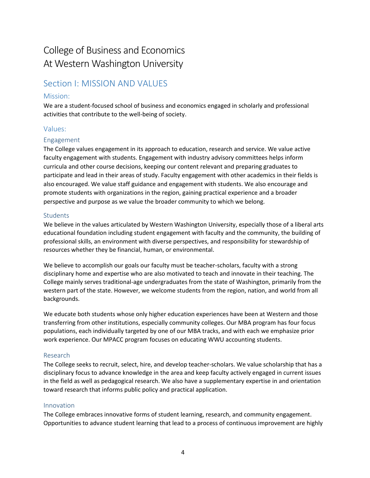## College of Business and Economics At Western Washington University

## <span id="page-4-0"></span>Section I: MISSION AND VALUES

## <span id="page-4-1"></span>Mission:

We are a student-focused school of business and economics engaged in scholarly and professional activities that contribute to the well-being of society.

## <span id="page-4-2"></span>Values:

## <span id="page-4-3"></span>Engagement

The College values engagement in its approach to education, research and service. We value active faculty engagement with students. Engagement with industry advisory committees helps inform curricula and other course decisions, keeping our content relevant and preparing graduates to participate and lead in their areas of study. Faculty engagement with other academics in their fields is also encouraged. We value staff guidance and engagement with students. We also encourage and promote students with organizations in the region, gaining practical experience and a broader perspective and purpose as we value the broader community to which we belong.

## <span id="page-4-4"></span>**Students**

We believe in the values articulated by Western Washington University, especially those of a liberal arts educational foundation including student engagement with faculty and the community, the building of professional skills, an environment with diverse perspectives, and responsibility for stewardship of resources whether they be financial, human, or environmental.

We believe to accomplish our goals our faculty must be teacher-scholars, faculty with a strong disciplinary home and expertise who are also motivated to teach and innovate in their teaching. The College mainly serves traditional-age undergraduates from the state of Washington, primarily from the western part of the state. However, we welcome students from the region, nation, and world from all backgrounds.

We educate both students whose only higher education experiences have been at Western and those transferring from other institutions, especially community colleges. Our MBA program has four focus populations, each individually targeted by one of our MBA tracks, and with each we emphasize prior work experience. Our MPACC program focuses on educating WWU accounting students.

## <span id="page-4-5"></span>Research

The College seeks to recruit, select, hire, and develop teacher-scholars. We value scholarship that has a disciplinary focus to advance knowledge in the area and keep faculty actively engaged in current issues in the field as well as pedagogical research. We also have a supplementary expertise in and orientation toward research that informs public policy and practical application.

## <span id="page-4-6"></span>Innovation

The College embraces innovative forms of student learning, research, and community engagement. Opportunities to advance student learning that lead to a process of continuous improvement are highly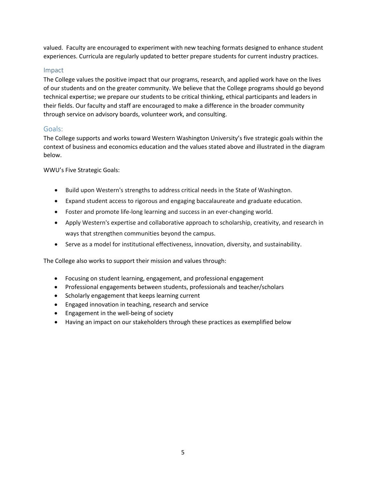valued. Faculty are encouraged to experiment with new teaching formats designed to enhance student experiences. Curricula are regularly updated to better prepare students for current industry practices.

## <span id="page-5-0"></span>Impact

The College values the positive impact that our programs, research, and applied work have on the lives of our students and on the greater community. We believe that the College programs should go beyond technical expertise; we prepare our students to be critical thinking, ethical participants and leaders in their fields. Our faculty and staff are encouraged to make a difference in the broader community through service on advisory boards, volunteer work, and consulting.

## <span id="page-5-1"></span>Goals:

The College supports and works toward Western Washington University's five strategic goals within the context of business and economics education and the values stated above and illustrated in the diagram below.

WWU's Five Strategic Goals:

- Build upon Western's strengths to address critical needs in the State of Washington.
- Expand student access to rigorous and engaging baccalaureate and graduate education.
- Foster and promote life-long learning and success in an ever-changing world.
- Apply Western's expertise and collaborative approach to scholarship, creativity, and research in ways that strengthen communities beyond the campus.
- Serve as a model for institutional effectiveness, innovation, diversity, and sustainability.

The College also works to support their mission and values through:

- Focusing on student learning, engagement, and professional engagement
- Professional engagements between students, professionals and teacher/scholars
- Scholarly engagement that keeps learning current
- Engaged innovation in teaching, research and service
- Engagement in the well-being of society
- Having an impact on our stakeholders through these practices as exemplified below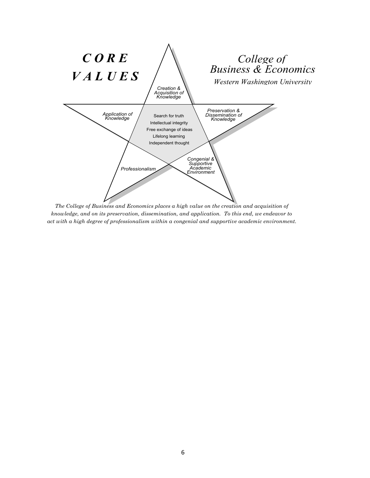

*The College of Business and Economics places a high value on the creation and acquisition of knowledge, and on its preservation, dissemination, and application. To this end, we endeavor to act with a high degree of professionalism within a congenial and supportive academic environment.*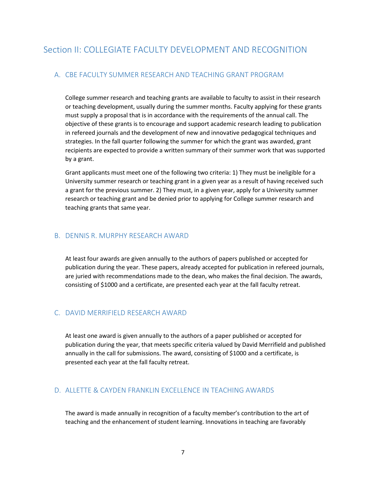## <span id="page-7-1"></span><span id="page-7-0"></span>A. CBE FACULTY SUMMER RESEARCH AND TEACHING GRANT PROGRAM

College summer research and teaching grants are available to faculty to assist in their research or teaching development, usually during the summer months. Faculty applying for these grants must supply a proposal that is in accordance with the requirements of the annual call. The objective of these grants is to encourage and support academic research leading to publication in refereed journals and the development of new and innovative pedagogical techniques and strategies. In the fall quarter following the summer for which the grant was awarded, grant recipients are expected to provide a written summary of their summer work that was supported by a grant.

Grant applicants must meet one of the following two criteria: 1) They must be ineligible for a University summer research or teaching grant in a given year as a result of having received such a grant for the previous summer. 2) They must, in a given year, apply for a University summer research or teaching grant and be denied prior to applying for College summer research and teaching grants that same year.

## <span id="page-7-2"></span>B. DENNIS R. MURPHY RESEARCH AWARD

At least four awards are given annually to the authors of papers published or accepted for publication during the year. These papers, already accepted for publication in refereed journals, are juried with recommendations made to the dean, who makes the final decision. The awards, consisting of \$1000 and a certificate, are presented each year at the fall faculty retreat.

## <span id="page-7-3"></span>C. DAVID MERRIFIELD RESEARCH AWARD

At least one award is given annually to the authors of a paper published or accepted for publication during the year, that meets specific criteria valued by David Merrifield and published annually in the call for submissions. The award, consisting of \$1000 and a certificate, is presented each year at the fall faculty retreat.

## <span id="page-7-4"></span>D. ALLETTE & CAYDEN FRANKLIN EXCELLENCE IN TEACHING AWARDS

The award is made annually in recognition of a faculty member's contribution to the art of teaching and the enhancement of student learning. Innovations in teaching are favorably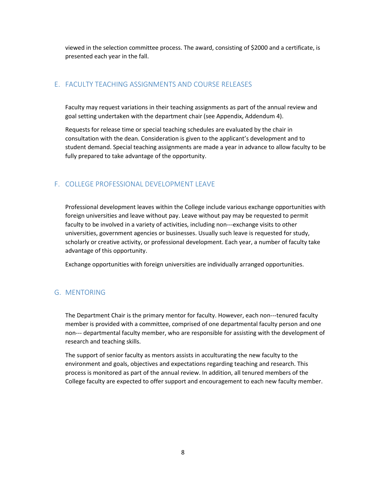viewed in the selection committee process. The award, consisting of \$2000 and a certificate, is presented each year in the fall.

## <span id="page-8-0"></span>E. FACULTY TEACHING ASSIGNMENTS AND COURSE RELEASES

Faculty may request variations in their teaching assignments as part of the annual review and goal setting undertaken with the department chair (see Appendix, Addendum 4).

Requests for release time or special teaching schedules are evaluated by the chair in consultation with the dean. Consideration is given to the applicant's development and to student demand. Special teaching assignments are made a year in advance to allow faculty to be fully prepared to take advantage of the opportunity.

## <span id="page-8-1"></span>F. COLLEGE PROFESSIONAL DEVELOPMENT LEAVE

Professional development leaves within the College include various exchange opportunities with foreign universities and leave without pay. Leave without pay may be requested to permit faculty to be involved in a variety of activities, including non---exchange visits to other universities, government agencies or businesses. Usually such leave is requested for study, scholarly or creative activity, or professional development. Each year, a number of faculty take advantage of this opportunity.

Exchange opportunities with foreign universities are individually arranged opportunities.

## <span id="page-8-2"></span>G. MENTORING

The Department Chair is the primary mentor for faculty. However, each non---tenured faculty member is provided with a committee, comprised of one departmental faculty person and one non--- departmental faculty member, who are responsible for assisting with the development of research and teaching skills.

The support of senior faculty as mentors assists in acculturating the new faculty to the environment and goals, objectives and expectations regarding teaching and research. This process is monitored as part of the annual review. In addition, all tenured members of the College faculty are expected to offer support and encouragement to each new faculty member.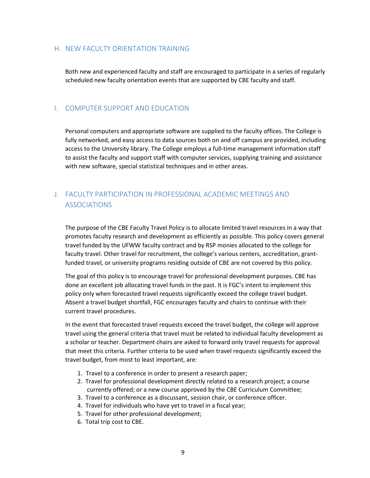## <span id="page-9-0"></span>H. NEW FACULTY ORIENTATION TRAINING

Both new and experienced faculty and staff are encouraged to participate in a series of regularly scheduled new faculty orientation events that are supported by CBE faculty and staff.

## <span id="page-9-1"></span>I. COMPUTER SUPPORT AND EDUCATION

Personal computers and appropriate software are supplied to the faculty offices. The College is fully networked, and easy access to data sources both on and off campus are provided, including access to the University library. The College employs a full-time management information staff to assist the faculty and support staff with computer services, supplying training and assistance with new software, special statistical techniques and in other areas.

## <span id="page-9-2"></span>J. FACULTY PARTICIPATION IN PROFESSIONAL ACADEMIC MEETINGS AND ASSOCIATIONS

The purpose of the CBE Faculty Travel Policy is to allocate limited travel resources in a way that promotes faculty research and development as efficiently as possible. This policy covers general travel funded by the UFWW faculty contract and by RSP monies allocated to the college for faculty travel. Other travel for recruitment, the college's various centers, accreditation, grantfunded travel, or university programs residing outside of CBE are not covered by this policy.

The goal of this policy is to encourage travel for professional development purposes. CBE has done an excellent job allocating travel funds in the past. It is FGC's intent to implement this policy only when forecasted travel requests significantly exceed the college travel budget. Absent a travel budget shortfall, FGC encourages faculty and chairs to continue with their current travel procedures.

In the event that forecasted travel requests exceed the travel budget, the college will approve travel using the general criteria that travel must be related to individual faculty development as a scholar or teacher. Department chairs are asked to forward only travel requests for approval that meet this criteria. Further criteria to be used when travel requests significantly exceed the travel budget, from most to least important, are:

- 1. Travel to a conference in order to present a research paper;
- 2. Travel for professional development directly related to a research project; a course currently offered; or a new course approved by the CBE Curriculum Committee;
- 3. Travel to a conference as a discussant, session chair, or conference officer.
- 4. Travel for individuals who have yet to travel in a fiscal year;
- 5. Travel for other professional development;
- 6. Total trip cost to CBE.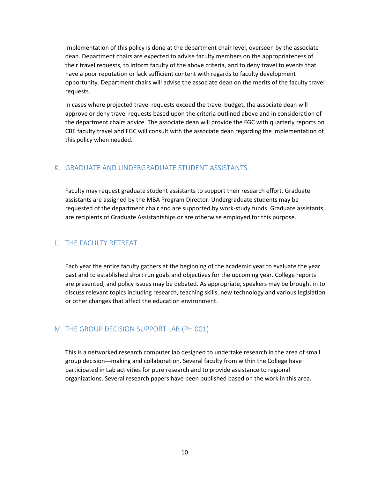Implementation of this policy is done at the department chair level, overseen by the associate dean. Department chairs are expected to advise faculty members on the appropriateness of their travel requests, to inform faculty of the above criteria, and to deny travel to events that have a poor reputation or lack sufficient content with regards to faculty development opportunity. Department chairs will advise the associate dean on the merits of the faculty travel requests.

In cases where projected travel requests exceed the travel budget, the associate dean will approve or deny travel requests based upon the criteria outlined above and in consideration of the department chairs advice. The associate dean will provide the FGC with quarterly reports on CBE faculty travel and FGC will consult with the associate dean regarding the implementation of this policy when needed.

## <span id="page-10-0"></span>K. GRADUATE AND UNDERGRADUATE STUDENT ASSISTANTS

Faculty may request graduate student assistants to support their research effort. Graduate assistants are assigned by the MBA Program Director. Undergraduate students may be requested of the department chair and are supported by work-study funds. Graduate assistants are recipients of Graduate Assistantships or are otherwise employed for this purpose.

## <span id="page-10-1"></span>L. THE FACULTY RETREAT

Each year the entire faculty gathers at the beginning of the academic year to evaluate the year past and to established short run goals and objectives for the upcoming year. College reports are presented, and policy issues may be debated. As appropriate, speakers may be brought in to discuss relevant topics including research, teaching skills, new technology and various legislation or other changes that affect the education environment.

## <span id="page-10-2"></span>M. THE GROUP DECISION SUPPORT LAB (PH 001)

This is a networked research computer lab designed to undertake research in the area of small group decision---making and collaboration. Several faculty from within the College have participated in Lab activities for pure research and to provide assistance to regional organizations. Several research papers have been published based on the work in this area.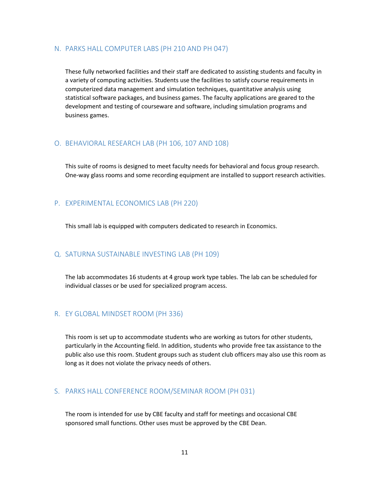#### <span id="page-11-0"></span>N. PARKS HALL COMPUTER LABS (PH 210 AND PH 047)

These fully networked facilities and their staff are dedicated to assisting students and faculty in a variety of computing activities. Students use the facilities to satisfy course requirements in computerized data management and simulation techniques, quantitative analysis using statistical software packages, and business games. The faculty applications are geared to the development and testing of courseware and software, including simulation programs and business games.

## <span id="page-11-1"></span>O. BEHAVIORAL RESEARCH LAB (PH 106, 107 AND 108)

This suite of rooms is designed to meet faculty needs for behavioral and focus group research. One-way glass rooms and some recording equipment are installed to support research activities.

## <span id="page-11-2"></span>P. EXPERIMENTAL ECONOMICS LAB (PH 220)

This small lab is equipped with computers dedicated to research in Economics.

## <span id="page-11-3"></span>Q. SATURNA SUSTAINABLE INVESTING LAB (PH 109)

The lab accommodates 16 students at 4 group work type tables. The lab can be scheduled for individual classes or be used for specialized program access.

## <span id="page-11-4"></span>R. EY GLOBAL MINDSET ROOM (PH 336)

This room is set up to accommodate students who are working as tutors for other students, particularly in the Accounting field. In addition, students who provide free tax assistance to the public also use this room. Student groups such as student club officers may also use this room as long as it does not violate the privacy needs of others.

## <span id="page-11-5"></span>S. PARKS HALL CONFERENCE ROOM/SEMINAR ROOM (PH 031)

The room is intended for use by CBE faculty and staff for meetings and occasional CBE sponsored small functions. Other uses must be approved by the CBE Dean.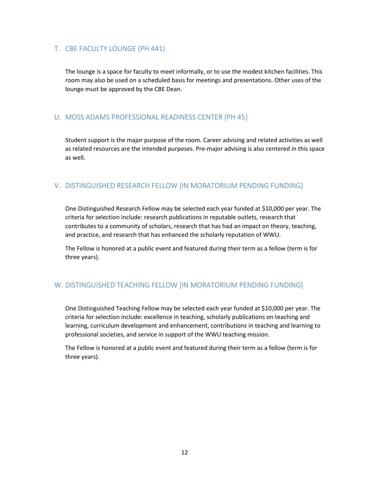## <span id="page-12-0"></span>T. CBE FACULTY LOUNGE (PH 441)

The lounge is a space for faculty to meet informally, or to use the modest kitchen facilities. This room may also be used on a scheduled basis for meetings and presentations. Other uses of the lounge must be approved by the CBE Dean.

## <span id="page-12-1"></span>U. MOSS ADAMS PROFESSIONAL READINESS CENTER (PH 45)

Student support is the major purpose of the room. Career advising and related activities as well as related resources are the intended purposes. Pre-major advising is also centered in this space as well.

## <span id="page-12-2"></span>V. DISTINGUISHED RESEARCH FELLOW [IN MORATORIUM PENDING FUNDING]

One Distinguished Research Fellow may be selected each year funded at \$10,000 per year. The criteria for selection include: research publications in reputable outlets, research that contributes to a community of scholars, research that has had an impact on theory, teaching, and practice, and research that has enhanced the scholarly reputation of WWU.

The Fellow is honored at a public event and featured during their term as a fellow (term is for three years).

## <span id="page-12-3"></span>W. DISTINGUISHED TEACHING FELLOW [IN MORATORIUM PENDING FUNDING]

One Distinguished Teaching Fellow may be selected each year funded at \$10,000 per year. The criteria for selection include: excellence in teaching, scholarly publications on teaching and learning, curriculum development and enhancement, contributions in teaching and learning to professional societies, and service in support of the WWU teaching mission.

The Fellow is honored at a public event and featured during their term as a fellow (term is for three years).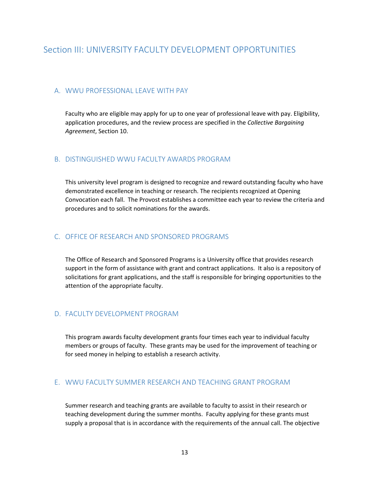## <span id="page-13-0"></span>Section III: UNIVERSITY FACULTY DEVELOPMENT OPPORTUNITIES

## <span id="page-13-1"></span>A. WWU PROFESSIONAL LEAVE WITH PAY

Faculty who are eligible may apply for up to one year of professional leave with pay. Eligibility, application procedures, and the review process are specified in the *Collective Bargaining Agreement*, Section 10.

## <span id="page-13-2"></span>B. DISTINGUISHED WWU FACULTY AWARDS PROGRAM

This university level program is designed to recognize and reward outstanding faculty who have demonstrated excellence in teaching or research. The recipients recognized at Opening Convocation each fall. The Provost establishes a committee each year to review the criteria and procedures and to solicit nominations for the awards.

## <span id="page-13-3"></span>C. OFFICE OF RESEARCH AND SPONSORED PROGRAMS

The Office of Research and Sponsored Programs is a University office that provides research support in the form of assistance with grant and contract applications. It also is a repository of solicitations for grant applications, and the staff is responsible for bringing opportunities to the attention of the appropriate faculty.

## <span id="page-13-4"></span>D. FACULTY DEVELOPMENT PROGRAM

This program awards faculty development grants four times each year to individual faculty members or groups of faculty. These grants may be used for the improvement of teaching or for seed money in helping to establish a research activity.

## <span id="page-13-5"></span>E. WWU FACULTY SUMMER RESEARCH AND TEACHING GRANT PROGRAM

Summer research and teaching grants are available to faculty to assist in their research or teaching development during the summer months. Faculty applying for these grants must supply a proposal that is in accordance with the requirements of the annual call. The objective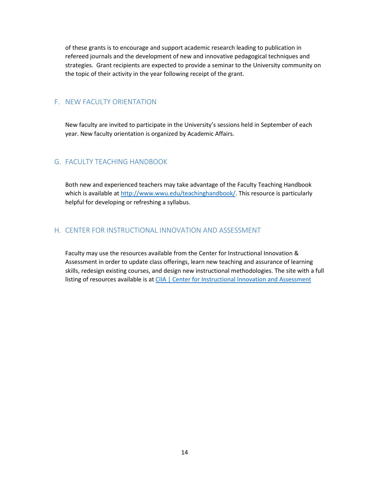of these grants is to encourage and support academic research leading to publication in refereed journals and the development of new and innovative pedagogical techniques and strategies. Grant recipients are expected to provide a seminar to the University community on the topic of their activity in the year following receipt of the grant.

#### <span id="page-14-0"></span>F. NEW FACULTY ORIENTATION

New faculty are invited to participate in the University's sessions held in September of each year. New faculty orientation is organized by Academic Affairs.

## <span id="page-14-1"></span>G. FACULTY TEACHING HANDBOOK

Both new and experienced teachers may take advantage of the Faculty Teaching Handbook which is available at [http://www.wwu.edu/teachinghandbook/.](http://www.wwu.edu/teachinghandbook/) This resource is particularly helpful for developing or refreshing a syllabus.

## <span id="page-14-2"></span>H. CENTER FOR INSTRUCTIONAL INNOVATION AND ASSESSMENT

Faculty may use the resources available from the Center for Instructional Innovation & Assessment in order to update class offerings, learn new teaching and assurance of learning skills, redesign existing courses, and design new instructional methodologies. The site with a full listing of resources available is a[t CIIA | Center for Instructional Innovation and Assessment](https://cii.wwu.edu/)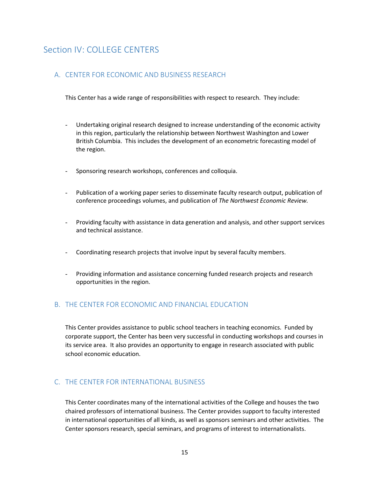## <span id="page-15-0"></span>Section IV: COLLEGE CENTERS

## <span id="page-15-1"></span>A. CENTER FOR ECONOMIC AND BUSINESS RESEARCH

This Center has a wide range of responsibilities with respect to research. They include:

- Undertaking original research designed to increase understanding of the economic activity in this region, particularly the relationship between Northwest Washington and Lower British Columbia. This includes the development of an econometric forecasting model of the region.
- Sponsoring research workshops, conferences and colloquia.
- Publication of a working paper series to disseminate faculty research output, publication of conference proceedings volumes, and publication of *The Northwest Economic Review.*
- Providing faculty with assistance in data generation and analysis, and other support services and technical assistance.
- Coordinating research projects that involve input by several faculty members.
- Providing information and assistance concerning funded research projects and research opportunities in the region.

## <span id="page-15-2"></span>B. THE CENTER FOR ECONOMIC AND FINANCIAL EDUCATION

This Center provides assistance to public school teachers in teaching economics. Funded by corporate support, the Center has been very successful in conducting workshops and courses in its service area. It also provides an opportunity to engage in research associated with public school economic education.

## <span id="page-15-3"></span>C. THE CENTER FOR INTERNATIONAL BUSINESS

This Center coordinates many of the international activities of the College and houses the two chaired professors of international business. The Center provides support to faculty interested in international opportunities of all kinds, as well as sponsors seminars and other activities. The Center sponsors research, special seminars, and programs of interest to internationalists.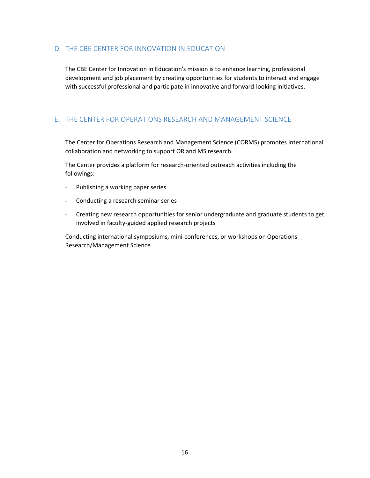## <span id="page-16-0"></span>D. THE CBE CENTER FOR INNOVATION IN EDUCATION

The CBE Center for Innovation in Education's mission is to enhance learning, professional development and job placement by creating opportunities for students to interact and engage with successful professional and participate in innovative and forward-looking initiatives.

## <span id="page-16-1"></span>E. THE CENTER FOR OPERATIONS RESEARCH AND MANAGEMENT SCIENCE

The Center for Operations Research and Management Science (CORMS) promotes international collaboration and networking to support OR and MS research.

The Center provides a platform for research-oriented outreach activities including the followings:

- Publishing a working paper series
- Conducting a research seminar series
- Creating new research opportunities for senior undergraduate and graduate students to get involved in faculty-guided applied research projects

Conducting international symposiums, mini-conferences, or workshops on Operations Research/Management Science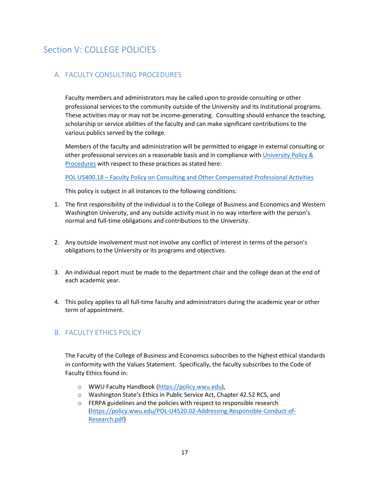## <span id="page-17-0"></span>Section V: COLLEGE POLICIES

## <span id="page-17-1"></span>A. FACULTY CONSULTING PROCEDURES

Faculty members and administrators may be called upon to provide consulting or other professional services to the community outside of the University and its institutional programs. These activities may or may not be income-generating. Consulting should enhance the teaching, scholarship or service abilities of the faculty and can make significant contributions to the various publics served by the college.

Members of the faculty and administration will be permitted to engage in external consulting or other professional services on a reasonable basis and in compliance with [University Policy &](https://policy.wwu.edu/policies-by-subject)  [Procedures](https://policy.wwu.edu/policies-by-subject) with respect to these practices as stated here:

[POL U5400.18 – Faculty Policy on Consulting and Other Compensated Professional Activities](https://policy.wwu.edu/POL-U5400.18-Faculty-Policy-on-Consulting-and-Other-Compensated-Professional-Activities.pdf) 

This policy is subject in all instances to the following conditions:

- 1. The first responsibility of the individual is to the College of Business and Economics and Western Washington University, and any outside activity must in no way interfere with the person's normal and full-time obligations and contributions to the University.
- 2. Any outside involvement must not involve any conflict of interest in terms of the person's obligations to the University or its programs and objectives.
- 3. An individual report must be made to the department chair and the college dean at the end of each academic year.
- 4. This policy applies to all full-time faculty and administrators during the academic year or other term of appointment.

## <span id="page-17-2"></span>B. FACULTY ETHICS POLICY

The Faculty of the College of Business and Economics subscribes to the highest ethical standards in conformity with the Values Statement. Specifically, the faculty subscribes to the Code of Faculty Ethics found in:

- o WWU Faculty Handbook [\(https://policy.wwu.edu\)](https://policy.wwu.edu/),
- o Washington State's Ethics in Public Service Act, Chapter 42.52 RCS, and
- o FERPA guidelines and the policies with respect to responsible research [\(https://policy.wwu.edu/POL-U4520.02-Addressing-Responsible-Conduct-of-](https://policy.wwu.edu/POL-U4520.02-Addressing-Responsible-Conduct-of-Research.pdf)[Research.pdf\)](https://policy.wwu.edu/POL-U4520.02-Addressing-Responsible-Conduct-of-Research.pdf)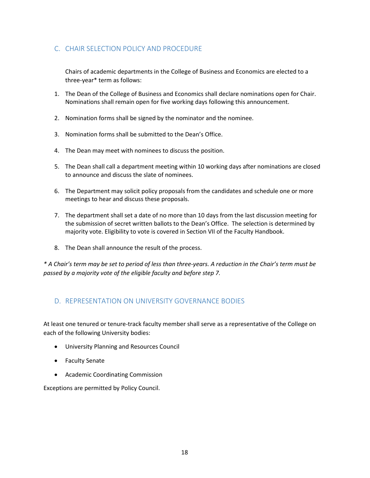## <span id="page-18-0"></span>C. CHAIR SELECTION POLICY AND PROCEDURE

Chairs of academic departments in the College of Business and Economics are elected to a three-year\* term as follows:

- 1. The Dean of the College of Business and Economics shall declare nominations open for Chair. Nominations shall remain open for five working days following this announcement.
- 2. Nomination forms shall be signed by the nominator and the nominee.
- 3. Nomination forms shall be submitted to the Dean's Office.
- 4. The Dean may meet with nominees to discuss the position.
- 5. The Dean shall call a department meeting within 10 working days after nominations are closed to announce and discuss the slate of nominees.
- 6. The Department may solicit policy proposals from the candidates and schedule one or more meetings to hear and discuss these proposals.
- 7. The department shall set a date of no more than 10 days from the last discussion meeting for the submission of secret written ballots to the Dean's Office. The selection is determined by majority vote. Eligibility to vote is covered in Section VII of the Faculty Handbook.
- 8. The Dean shall announce the result of the process.

*\* A Chair's term may be set to period of less than three-years. A reduction in the Chair's term must be passed by a majority vote of the eligible faculty and before step 7.*

## <span id="page-18-1"></span>D. REPRESENTATION ON UNIVERSITY GOVERNANCE BODIES

At least one tenured or tenure-track faculty member shall serve as a representative of the College on each of the following University bodies:

- University Planning and Resources Council
- Faculty Senate
- Academic Coordinating Commission

Exceptions are permitted by Policy Council.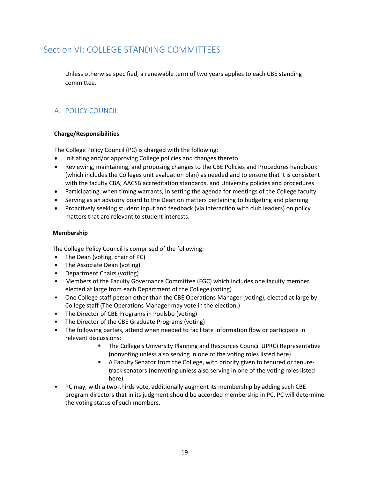## <span id="page-19-0"></span>Section VI: COLLEGE STANDING COMMITTEES

Unless otherwise specified, a renewable term of two years applies to each CBE standing committee.

## <span id="page-19-1"></span>A. POLICY COUNCIL

## **Charge/Responsibilities**

The College Policy Council (PC) is charged with the following:

- Initiating and/or approving College policies and changes thereto
- Reviewing, maintaining, and proposing changes to the CBE Policies and Procedures handbook (which includes the Colleges unit evaluation plan) as needed and to ensure that it is consistent with the faculty CBA, AACSB accreditation standards, and University policies and procedures
- Participating, when timing warrants, in setting the agenda for meetings of the College faculty
- Serving as an advisory board to the Dean on matters pertaining to budgeting and planning
- Proactively seeking student input and feedback (via interaction with club leaders) on policy matters that are relevant to student interests.

#### **Membership**

The College Policy Council is comprised of the following:

- The Dean (voting, chair of PC)
- The Associate Dean (voting)
- Department Chairs (voting)
- Members of the Faculty Governance Committee (FGC) which includes one faculty member elected at large from each Department of the College (voting)
- One College staff person other than the CBE Operations Manager [voting], elected at large by College staff (The Operations Manager may vote in the election.)
- The Director of CBE Programs in Poulsbo (voting)
- The Director of the CBE Graduate Programs (voting)
- The following parties, attend when needed to facilitate information flow or participate in relevant discussions:
	- The College's University Planning and Resources Council UPRC) Representative (nonvoting unless also serving in one of the voting roles listed here)
	- A Faculty Senator from the College, with priority given to tenured or tenuretrack senators (nonvoting unless also serving in one of the voting roles listed here)
- PC may, with a two-thirds vote, additionally augment its membership by adding such CBE program directors that in its judgment should be accorded membership in PC. PC will determine the voting status of such members.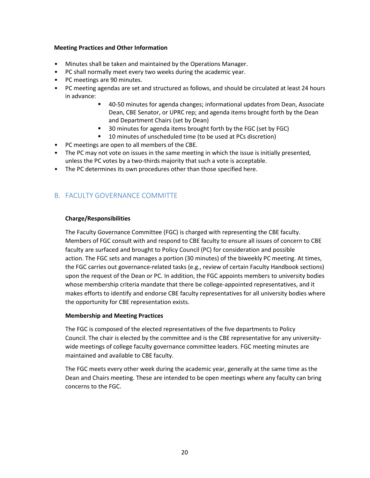#### **Meeting Practices and Other Information**

- Minutes shall be taken and maintained by the Operations Manager.
- PC shall normally meet every two weeks during the academic year.
- PC meetings are 90 minutes.
- PC meeting agendas are set and structured as follows, and should be circulated at least 24 hours in advance:
	- 40-50 minutes for agenda changes; informational updates from Dean, Associate Dean, CBE Senator, or UPRC rep; and agenda items brought forth by the Dean and Department Chairs (set by Dean)
	- 30 minutes for agenda items brought forth by the FGC (set by FGC)
	- 10 minutes of unscheduled time (to be used at PCs discretion)
- PC meetings are open to all members of the CBE.
- The PC may not vote on issues in the same meeting in which the issue is initially presented, unless the PC votes by a two-thirds majority that such a vote is acceptable.
- The PC determines its own procedures other than those specified here.

## <span id="page-20-0"></span>B. FACULTY GOVERNANCE COMMITTE

#### **Charge/Responsibilities**

The Faculty Governance Committee (FGC) is charged with representing the CBE faculty. Members of FGC consult with and respond to CBE faculty to ensure all issues of concern to CBE faculty are surfaced and brought to Policy Council (PC) for consideration and possible action. The FGC sets and manages a portion (30 minutes) of the biweekly PC meeting. At times, the FGC carries out governance-related tasks (e.g., review of certain Faculty Handbook sections) upon the request of the Dean or PC. In addition, the FGC appoints members to university bodies whose membership criteria mandate that there be college-appointed representatives, and it makes efforts to identify and endorse CBE faculty representatives for all university bodies where the opportunity for CBE representation exists.

#### **Membership and Meeting Practices**

The FGC is composed of the elected representatives of the five departments to Policy Council. The chair is elected by the committee and is the CBE representative for any universitywide meetings of college faculty governance committee leaders. FGC meeting minutes are maintained and available to CBE faculty.

The FGC meets every other week during the academic year, generally at the same time as the Dean and Chairs meeting. These are intended to be open meetings where any faculty can bring concerns to the FGC.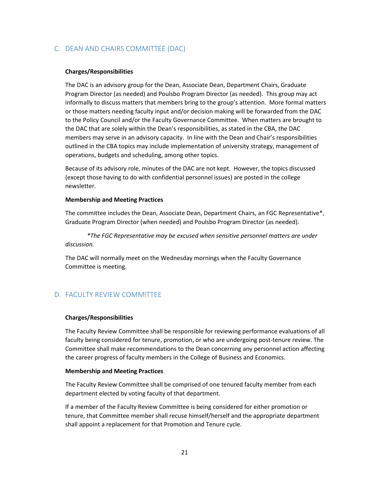## <span id="page-21-0"></span>C. DEAN AND CHAIRS COMMITTEE (DAC)

#### **Charges/Responsibilities**

The DAC is an advisory group for the Dean, Associate Dean, Department Chairs, Graduate Program Director (as needed) and Poulsbo Program Director (as needed). This group may act informally to discuss matters that members bring to the group's attention. More formal matters or those matters needing faculty input and/or decision making will be forwarded from the DAC to the Policy Council and/or the Faculty Governance Committee. When matters are brought to the DAC that are solely within the Dean's responsibilities, as stated in the CBA, the DAC members may serve in an advisory capacity. In line with the Dean and Chair's responsibilities outlined in the CBA topics may include implementation of university strategy, management of operations, budgets and scheduling, among other topics.

Because of its advisory role, minutes of the DAC are not kept. However, the topics discussed (except those having to do with confidential personnel issues) are posted in the college newsletter.

#### **Membership and Meeting Practices**

The committee includes the Dean, Associate Dean, Department Chairs, an FGC Representative\*, Graduate Program Director (when needed) and Poulsbo Program Director (as needed).

*\*The FGC Representative may be excused when sensitive personnel matters are under discussion.*

The DAC will normally meet on the Wednesday mornings when the Faculty Governance Committee is meeting.

## <span id="page-21-1"></span>D. FACULTY REVIEW COMMITTEE

#### **Charges/Responsibilities**

The Faculty Review Committee shall be responsible for reviewing performance evaluations of all faculty being considered for tenure, promotion, or who are undergoing post-tenure review. The Committee shall make recommendations to the Dean concerning any personnel action affecting the career progress of faculty members in the College of Business and Economics.

#### **Membership and Meeting Practices**

The Faculty Review Committee shall be comprised of one tenured faculty member from each department elected by voting faculty of that department.

If a member of the Faculty Review Committee is being considered for either promotion or tenure, that Committee member shall recuse himself/herself and the appropriate department shall appoint a replacement for that Promotion and Tenure cycle.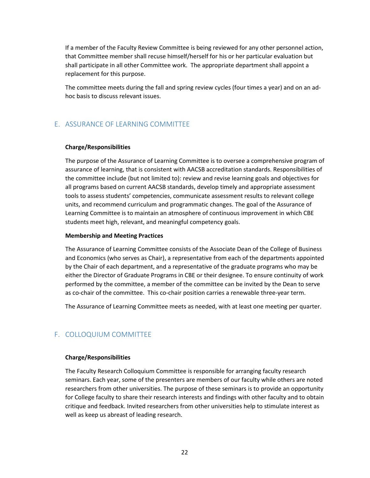If a member of the Faculty Review Committee is being reviewed for any other personnel action, that Committee member shall recuse himself/herself for his or her particular evaluation but shall participate in all other Committee work. The appropriate department shall appoint a replacement for this purpose.

The committee meets during the fall and spring review cycles (four times a year) and on an adhoc basis to discuss relevant issues.

## <span id="page-22-0"></span>E. ASSURANCE OF LEARNING COMMITTEE

#### **Charge/Responsibilities**

The purpose of the Assurance of Learning Committee is to oversee a comprehensive program of assurance of learning, that is consistent with AACSB accreditation standards. Responsibilities of the committee include (but not limited to): review and revise learning goals and objectives for all programs based on current AACSB standards, develop timely and appropriate assessment tools to assess students' competencies, communicate assessment results to relevant college units, and recommend curriculum and programmatic changes. The goal of the Assurance of Learning Committee is to maintain an atmosphere of continuous improvement in which CBE students meet high, relevant, and meaningful competency goals.

#### **Membership and Meeting Practices**

The Assurance of Learning Committee consists of the Associate Dean of the College of Business and Economics (who serves as Chair), a representative from each of the departments appointed by the Chair of each department, and a representative of the graduate programs who may be either the Director of Graduate Programs in CBE or their designee. To ensure continuity of work performed by the committee, a member of the committee can be invited by the Dean to serve as co-chair of the committee. This co-chair position carries a renewable three-year term.

The Assurance of Learning Committee meets as needed, with at least one meeting per quarter.

## <span id="page-22-1"></span>F. COLLOQUIUM COMMITTEE

#### **Charge/Responsibilities**

The Faculty Research Colloquium Committee is responsible for arranging faculty research seminars. Each year, some of the presenters are members of our faculty while others are noted researchers from other universities. The purpose of these seminars is to provide an opportunity for College faculty to share their research interests and findings with other faculty and to obtain critique and feedback. Invited researchers from other universities help to stimulate interest as well as keep us abreast of leading research.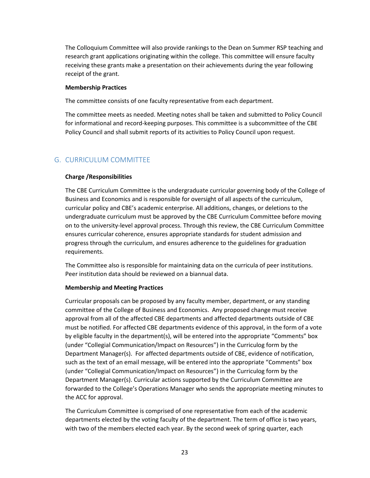The Colloquium Committee will also provide rankings to the Dean on Summer RSP teaching and research grant applications originating within the college. This committee will ensure faculty receiving these grants make a presentation on their achievements during the year following receipt of the grant.

#### **Membership Practices**

The committee consists of one faculty representative from each department.

The committee meets as needed. Meeting notes shall be taken and submitted to Policy Council for informational and record-keeping purposes. This committee is a subcommittee of the CBE Policy Council and shall submit reports of its activities to Policy Council upon request.

## <span id="page-23-0"></span>G. CURRICULUM COMMITTEE

#### **Charge /Responsibilities**

The CBE Curriculum Committee is the undergraduate curricular governing body of the College of Business and Economics and is responsible for oversight of all aspects of the curriculum, curricular policy and CBE's academic enterprise. All additions, changes, or deletions to the undergraduate curriculum must be approved by the CBE Curriculum Committee before moving on to the university-level approval process. Through this review, the CBE Curriculum Committee ensures curricular coherence, ensures appropriate standards for student admission and progress through the curriculum, and ensures adherence to the guidelines for graduation requirements.

The Committee also is responsible for maintaining data on the curricula of peer institutions. Peer institution data should be reviewed on a biannual data.

## **Membership and Meeting Practices**

Curricular proposals can be proposed by any faculty member, department, or any standing committee of the College of Business and Economics. Any proposed change must receive approval from all of the affected CBE departments and affected departments outside of CBE must be notified. For affected CBE departments evidence of this approval, in the form of a vote by eligible faculty in the department(s), will be entered into the appropriate "Comments" box (under "Collegial Communication/Impact on Resources") in the Curriculog form by the Department Manager(s). For affected departments outside of CBE, evidence of notification, such as the text of an email message, will be entered into the appropriate "Comments" box (under "Collegial Communication/Impact on Resources") in the Curriculog form by the Department Manager(s). Curricular actions supported by the Curriculum Committee are forwarded to the College's Operations Manager who sends the appropriate meeting minutes to the ACC for approval.

The Curriculum Committee is comprised of one representative from each of the academic departments elected by the voting faculty of the department. The term of office is two years, with two of the members elected each year. By the second week of spring quarter, each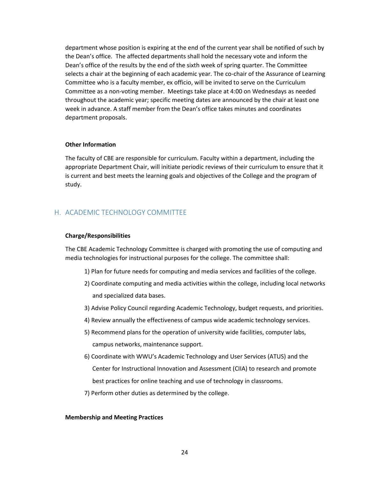department whose position is expiring at the end of the current year shall be notified of such by the Dean's office. The affected departments shall hold the necessary vote and inform the Dean's office of the results by the end of the sixth week of spring quarter. The Committee selects a chair at the beginning of each academic year. The co-chair of the Assurance of Learning Committee who is a faculty member, ex officio, will be invited to serve on the Curriculum Committee as a non-voting member. Meetings take place at 4:00 on Wednesdays as needed throughout the academic year; specific meeting dates are announced by the chair at least one week in advance. A staff member from the Dean's office takes minutes and coordinates department proposals.

#### **Other Information**

The faculty of CBE are responsible for curriculum. Faculty within a department, including the appropriate Department Chair, will initiate periodic reviews of their curriculum to ensure that it is current and best meets the learning goals and objectives of the College and the program of study.

## <span id="page-24-0"></span>H. ACADEMIC TECHNOLOGY COMMITTEE

#### **Charge/Responsibilities**

The CBE Academic Technology Committee is charged with promoting the use of computing and media technologies for instructional purposes for the college. The committee shall:

- 1) Plan for future needs for computing and media services and facilities of the college.
- 2) Coordinate computing and media activities within the college, including local networks and specialized data bases.
- 3) Advise Policy Council regarding Academic Technology, budget requests, and priorities.
- 4) Review annually the effectiveness of campus wide academic technology services.
- 5) Recommend plans for the operation of university wide facilities, computer labs, campus networks, maintenance support.
- 6) Coordinate with WWU's Academic Technology and User Services (ATUS) and the Center for Instructional Innovation and Assessment (CIIA) to research and promote best practices for online teaching and use of technology in classrooms.
- 7) Perform other duties as determined by the college.

#### **Membership and Meeting Practices**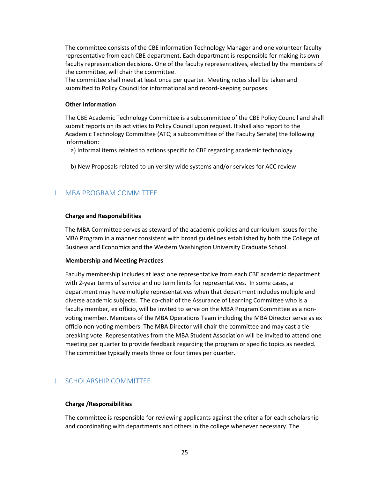The committee consists of the CBE Information Technology Manager and one volunteer faculty representative from each CBE department. Each department is responsible for making its own faculty representation decisions. One of the faculty representatives, elected by the members of the committee, will chair the committee.

The committee shall meet at least once per quarter. Meeting notes shall be taken and submitted to Policy Council for informational and record-keeping purposes.

#### **Other Information**

The CBE Academic Technology Committee is a subcommittee of the CBE Policy Council and shall submit reports on its activities to Policy Council upon request. It shall also report to the Academic Technology Committee (ATC; a subcommittee of the Faculty Senate) the following information:

- a) Informal items related to actions specific to CBE regarding academic technology
- b) New Proposals related to university wide systems and/or services for ACC review

## <span id="page-25-0"></span>I. MBA PROGRAM COMMITTEE

#### **Charge and Responsibilities**

The MBA Committee serves as steward of the academic policies and curriculum issues for the MBA Program in a manner consistent with broad guidelines established by both the College of Business and Economics and the Western Washington University Graduate School.

#### **Membership and Meeting Practices**

Faculty membership includes at least one representative from each CBE academic department with 2-year terms of service and no term limits for representatives. In some cases, a department may have multiple representatives when that department includes multiple and diverse academic subjects. The co-chair of the Assurance of Learning Committee who is a faculty member, ex officio, will be invited to serve on the MBA Program Committee as a nonvoting member. Members of the MBA Operations Team including the MBA Director serve as ex officio non-voting members. The MBA Director will chair the committee and may cast a tiebreaking vote. Representatives from the MBA Student Association will be invited to attend one meeting per quarter to provide feedback regarding the program or specific topics as needed. The committee typically meets three or four times per quarter.

## <span id="page-25-1"></span>J. SCHOLARSHIP COMMITTEE

#### **Charge /Responsibilities**

The committee is responsible for reviewing applicants against the criteria for each scholarship and coordinating with departments and others in the college whenever necessary. The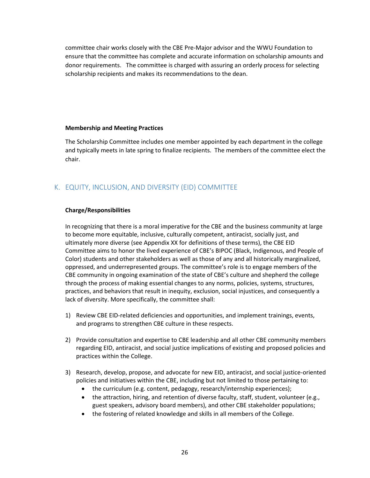committee chair works closely with the CBE Pre-Major advisor and the WWU Foundation to ensure that the committee has complete and accurate information on scholarship amounts and donor requirements. The committee is charged with assuring an orderly process for selecting scholarship recipients and makes its recommendations to the dean.

#### **Membership and Meeting Practices**

The Scholarship Committee includes one member appointed by each department in the college and typically meets in late spring to finalize recipients. The members of the committee elect the chair.

## <span id="page-26-0"></span>K. EQUITY, INCLUSION, AND DIVERSITY (EID) COMMITTEE

#### **Charge/Responsibilities**

In recognizing that there is a moral imperative for the CBE and the business community at large to become more equitable, inclusive, culturally competent, antiracist, socially just, and ultimately more diverse (see Appendix XX for definitions of these terms), the CBE EID Committee aims to honor the lived experience of CBE's BIPOC (Black, Indigenous, and People of Color) students and other stakeholders as well as those of any and all historically marginalized, oppressed, and underrepresented groups. The committee's role is to engage members of the CBE community in ongoing examination of the state of CBE's culture and shepherd the college through the process of making essential changes to any norms, policies, systems, structures, practices, and behaviors that result in inequity, exclusion, social injustices, and consequently a lack of diversity. More specifically, the committee shall:

- 1) Review CBE EID-related deficiencies and opportunities, and implement trainings, events, and programs to strengthen CBE culture in these respects.
- 2) Provide consultation and expertise to CBE leadership and all other CBE community members regarding EID, antiracist, and social justice implications of existing and proposed policies and practices within the College.
- 3) Research, develop, propose, and advocate for new EID, antiracist, and social justice-oriented policies and initiatives within the CBE, including but not limited to those pertaining to:
	- the curriculum (e.g. content, pedagogy, research/internship experiences);
	- the attraction, hiring, and retention of diverse faculty, staff, student, volunteer (e.g., guest speakers, advisory board members), and other CBE stakeholder populations;
	- the fostering of related knowledge and skills in all members of the College.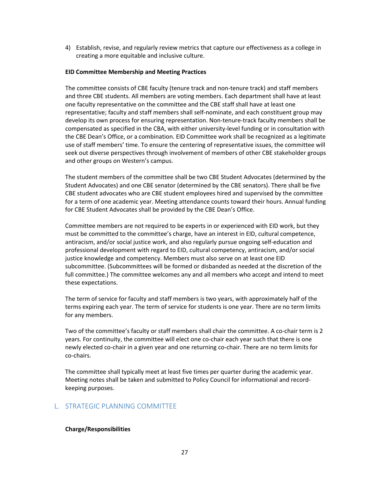4) Establish, revise, and regularly review metrics that capture our effectiveness as a college in creating a more equitable and inclusive culture.

#### **EID Committee Membership and Meeting Practices**

The committee consists of CBE faculty (tenure track and non-tenure track) and staff members and three CBE students. All members are voting members. Each department shall have at least one faculty representative on the committee and the CBE staff shall have at least one representative; faculty and staff members shall self-nominate, and each constituent group may develop its own process for ensuring representation. Non-tenure-track faculty members shall be compensated as specified in the CBA, with either university-level funding or in consultation with the CBE Dean's Office, or a combination. EID Committee work shall be recognized as a legitimate use of staff members' time. To ensure the centering of representative issues, the committee will seek out diverse perspectives through involvement of members of other CBE stakeholder groups and other groups on Western's campus.

The student members of the committee shall be two CBE Student Advocates (determined by the Student Advocates) and one CBE senator (determined by the CBE senators). There shall be five CBE student advocates who are CBE student employees hired and supervised by the committee for a term of one academic year. Meeting attendance counts toward their hours. Annual funding for CBE Student Advocates shall be provided by the CBE Dean's Office.

Committee members are not required to be experts in or experienced with EID work, but they must be committed to the committee's charge, have an interest in EID, cultural competence, antiracism, and/or social justice work, and also regularly pursue ongoing self-education and professional development with regard to EID, cultural competency, antiracism, and/or social justice knowledge and competency. Members must also serve on at least one EID subcommittee. (Subcommittees will be formed or disbanded as needed at the discretion of the full committee.) The committee welcomes any and all members who accept and intend to meet these expectations.

The term of service for faculty and staff members is two years, with approximately half of the terms expiring each year. The term of service for students is one year. There are no term limits for any members.

Two of the committee's faculty or staff members shall chair the committee. A co-chair term is 2 years. For continuity, the committee will elect one co-chair each year such that there is one newly elected co-chair in a given year and one returning co-chair. There are no term limits for co-chairs.

The committee shall typically meet at least five times per quarter during the academic year. Meeting notes shall be taken and submitted to Policy Council for informational and recordkeeping purposes.

## <span id="page-27-0"></span>L. STRATEGIC PLANNING COMMITTEE

#### **Charge/Responsibilities**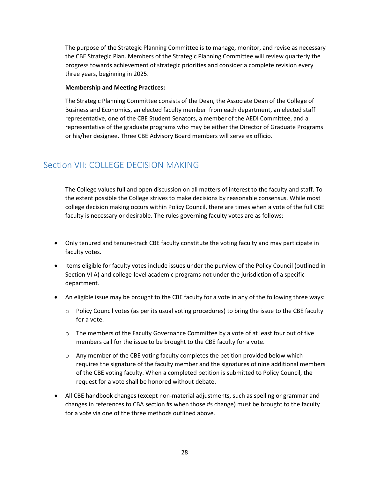The purpose of the Strategic Planning Committee is to manage, monitor, and revise as necessary the CBE Strategic Plan. Members of the Strategic Planning Committee will review quarterly the progress towards achievement of strategic priorities and consider a complete revision every three years, beginning in 2025.

#### **Membership and Meeting Practices:**

The Strategic Planning Committee consists of the Dean, the Associate Dean of the College of Business and Economics, an elected faculty member from each department, an elected staff representative, one of the CBE Student Senators, a member of the AEDI Committee, and a representative of the graduate programs who may be either the Director of Graduate Programs or his/her designee. Three CBE Advisory Board members will serve ex officio.

## <span id="page-28-0"></span>Section VII: COLLEGE DECISION MAKING

The College values full and open discussion on all matters of interest to the faculty and staff. To the extent possible the College strives to make decisions by reasonable consensus. While most college decision making occurs within Policy Council, there are times when a vote of the full CBE faculty is necessary or desirable. The rules governing faculty votes are as follows:

- Only tenured and tenure-track CBE faculty constitute the voting faculty and may participate in faculty votes.
- Items eligible for faculty votes include issues under the purview of the Policy Council (outlined in Section VI A) and college-level academic programs not under the jurisdiction of a specific department.
- An eligible issue may be brought to the CBE faculty for a vote in any of the following three ways:
	- $\circ$  Policy Council votes (as per its usual voting procedures) to bring the issue to the CBE faculty for a vote.
	- o The members of the Faculty Governance Committee by a vote of at least four out of five members call for the issue to be brought to the CBE faculty for a vote.
	- $\circ$  Any member of the CBE voting faculty completes the petition provided below which requires the signature of the faculty member and the signatures of nine additional members of the CBE voting faculty. When a completed petition is submitted to Policy Council, the request for a vote shall be honored without debate.
- All CBE handbook changes (except non-material adjustments, such as spelling or grammar and changes in references to CBA section #s when those #s change) must be brought to the faculty for a vote via one of the three methods outlined above.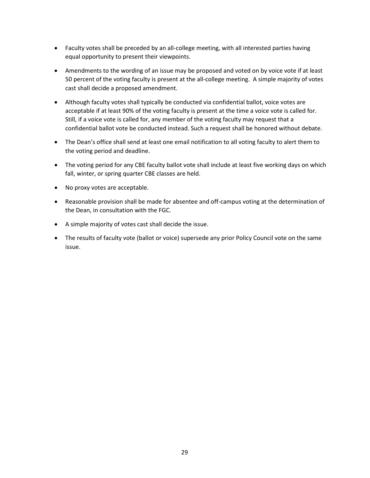- Faculty votes shall be preceded by an all-college meeting, with all interested parties having equal opportunity to present their viewpoints.
- Amendments to the wording of an issue may be proposed and voted on by voice vote if at least 50 percent of the voting faculty is present at the all-college meeting. A simple majority of votes cast shall decide a proposed amendment.
- Although faculty votes shall typically be conducted via confidential ballot, voice votes are acceptable if at least 90% of the voting faculty is present at the time a voice vote is called for. Still, if a voice vote is called for, any member of the voting faculty may request that a confidential ballot vote be conducted instead. Such a request shall be honored without debate.
- The Dean's office shall send at least one email notification to all voting faculty to alert them to the voting period and deadline.
- The voting period for any CBE faculty ballot vote shall include at least five working days on which fall, winter, or spring quarter CBE classes are held.
- No proxy votes are acceptable.
- Reasonable provision shall be made for absentee and off-campus voting at the determination of the Dean, in consultation with the FGC.
- A simple majority of votes cast shall decide the issue.
- The results of faculty vote (ballot or voice) supersede any prior Policy Council vote on the same issue.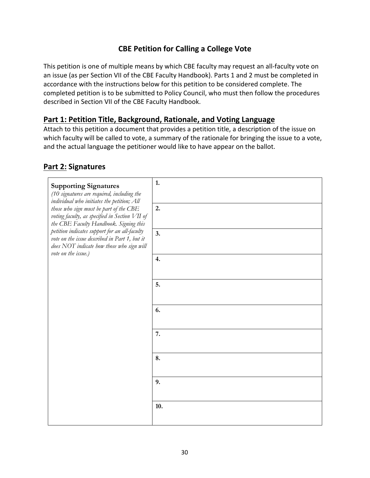## **CBE Petition for Calling a College Vote**

This petition is one of multiple means by which CBE faculty may request an all-faculty vote on an issue (as per Section VII of the CBE Faculty Handbook). Parts 1 and 2 must be completed in accordance with the instructions below for this petition to be considered complete. The completed petition is to be submitted to Policy Council, who must then follow the procedures described in Section VII of the CBE Faculty Handbook.

## **Part 1: Petition Title, Background, Rationale, and Voting Language**

Attach to this petition a document that provides a petition title, a description of the issue on which faculty will be called to vote, a summary of the rationale for bringing the issue to a vote, and the actual language the petitioner would like to have appear on the ballot.

## **Part 2: Signatures**

| <b>Supporting Signatures</b><br>(10 signatures are required, including the<br>individual who initiates the petition; All<br>those who sign must be part of the CBE<br>voting faculty, as specified in Section VII of<br>the CBE Faculty Handbook. Signing this<br>petition indicates support for an all-faculty<br>vote on the issue described in Part 1, but it<br>does NOT indicate how those who sign will<br>vote on the issue.) | 1.<br>2.<br>3.<br>4. |
|--------------------------------------------------------------------------------------------------------------------------------------------------------------------------------------------------------------------------------------------------------------------------------------------------------------------------------------------------------------------------------------------------------------------------------------|----------------------|
|                                                                                                                                                                                                                                                                                                                                                                                                                                      | 5.<br>6.             |
|                                                                                                                                                                                                                                                                                                                                                                                                                                      | 7.<br>8.<br>9.       |
|                                                                                                                                                                                                                                                                                                                                                                                                                                      | 10.                  |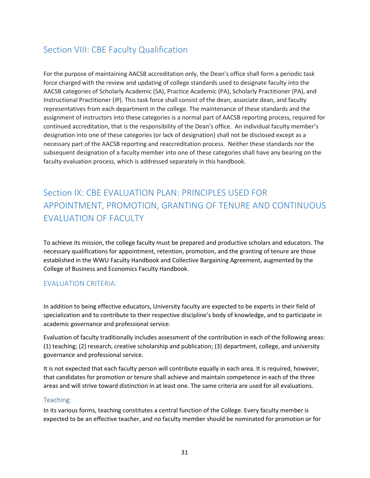## <span id="page-31-0"></span>Section VIII: CBE Faculty Qualification

For the purpose of maintaining AACSB accreditation only, the Dean's office shall form a periodic task force charged with the review and updating of college standards used to designate faculty into the AACSB categories of Scholarly Academic (SA), Practice Academic (PA), Scholarly Practitioner (PA), and Instructional Practitioner (IP). This task force shall consist of the dean, associate dean, and faculty representatives from each department in the college. The maintenance of these standards and the assignment of instructors into these categories is a normal part of AACSB reporting process, required for continued accreditation, that is the responsibility of the Dean's office. An individual faculty member's designation into one of these categories (or lack of designation) shall not be disclosed except as a necessary part of the AACSB reporting and reaccreditation process. Neither these standards nor the subsequent designation of a faculty member into one of these categories shall have any bearing on the faculty evaluation process, which is addressed separately in this handbook.

## <span id="page-31-1"></span>Section IX: CBE EVALUATION PLAN: PRINCIPLES USED FOR APPOINTMENT, PROMOTION, GRANTING OF TENURE AND CONTINUOUS **FVALUATION OF FACULTY**

To achieve its mission, the college faculty must be prepared and productive scholars and educators. The necessary qualifications for appointment, retention, promotion, and the granting of tenure are those established in the WWU Faculty Handbook and Collective Bargaining Agreement, augmented by the College of Business and Economics Faculty Handbook.

## <span id="page-31-2"></span>EVALUATION CRITERIA:

In addition to being effective educators, University faculty are expected to be experts in their field of specialization and to contribute to their respective discipline's body of knowledge, and to participate in academic governance and professional service.

Evaluation of faculty traditionally includes assessment of the contribution in each of the following areas: (1) teaching; (2) research, creative scholarship and publication; (3) department, college, and university governance and professional service.

It is not expected that each faculty person will contribute equally in each area. It is required, however, that candidates for promotion or tenure shall achieve and maintain competence in each of the three areas and will strive toward distinction in at least one. The same criteria are used for all evaluations.

## <span id="page-31-3"></span>Teaching:

In its various forms, teaching constitutes a central function of the College. Every faculty member is expected to be an effective teacher, and no faculty member should be nominated for promotion or for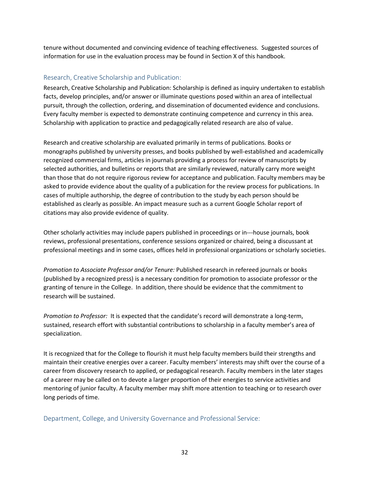tenure without documented and convincing evidence of teaching effectiveness. Suggested sources of information for use in the evaluation process may be found in Section X of this handbook.

## <span id="page-32-0"></span>Research, Creative Scholarship and Publication:

Research, Creative Scholarship and Publication: Scholarship is defined as inquiry undertaken to establish facts, develop principles, and/or answer or illuminate questions posed within an area of intellectual pursuit, through the collection, ordering, and dissemination of documented evidence and conclusions. Every faculty member is expected to demonstrate continuing competence and currency in this area. Scholarship with application to practice and pedagogically related research are also of value.

Research and creative scholarship are evaluated primarily in terms of publications. Books or monographs published by university presses, and books published by well-established and academically recognized commercial firms, articles in journals providing a process for review of manuscripts by selected authorities, and bulletins or reports that are similarly reviewed, naturally carry more weight than those that do not require rigorous review for acceptance and publication. Faculty members may be asked to provide evidence about the quality of a publication for the review process for publications. In cases of multiple authorship, the degree of contribution to the study by each person should be established as clearly as possible. An impact measure such as a current Google Scholar report of citations may also provide evidence of quality.

Other scholarly activities may include papers published in proceedings or in---house journals, book reviews, professional presentations, conference sessions organized or chaired, being a discussant at professional meetings and in some cases, offices held in professional organizations or scholarly societies.

*Promotion to Associate Professor and/or Tenure:* Published research in refereed journals or books (published by a recognized press) is a necessary condition for promotion to associate professor or the granting of tenure in the College. In addition, there should be evidence that the commitment to research will be sustained.

*Promotion to Professor:* It is expected that the candidate's record will demonstrate a long-term, sustained, research effort with substantial contributions to scholarship in a faculty member's area of specialization.

It is recognized that for the College to flourish it must help faculty members build their strengths and maintain their creative energies over a career. Faculty members' interests may shift over the course of a career from discovery research to applied, or pedagogical research. Faculty members in the later stages of a career may be called on to devote a larger proportion of their energies to service activities and mentoring of junior faculty. A faculty member may shift more attention to teaching or to research over long periods of time.

<span id="page-32-1"></span>Department, College, and University Governance and Professional Service: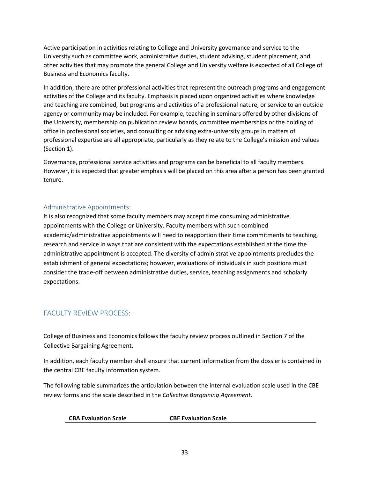Active participation in activities relating to College and University governance and service to the University such as committee work, administrative duties, student advising, student placement, and other activities that may promote the general College and University welfare is expected of all College of Business and Economics faculty.

In addition, there are other professional activities that represent the outreach programs and engagement activities of the College and its faculty. Emphasis is placed upon organized activities where knowledge and teaching are combined, but programs and activities of a professional nature, or service to an outside agency or community may be included. For example, teaching in seminars offered by other divisions of the University, membership on publication review boards, committee memberships or the holding of office in professional societies, and consulting or advising extra-university groups in matters of professional expertise are all appropriate, particularly as they relate to the College's mission and values (Section 1).

Governance, professional service activities and programs can be beneficial to all faculty members. However, it is expected that greater emphasis will be placed on this area after a person has been granted tenure.

## <span id="page-33-0"></span>Administrative Appointments:

It is also recognized that some faculty members may accept time consuming administrative appointments with the College or University. Faculty members with such combined academic/administrative appointments will need to reapportion their time commitments to teaching, research and service in ways that are consistent with the expectations established at the time the administrative appointment is accepted. The diversity of administrative appointments precludes the establishment of general expectations; however, evaluations of individuals in such positions must consider the trade-off between administrative duties, service, teaching assignments and scholarly expectations.

## <span id="page-33-1"></span>FACULTY REVIEW PROCESS:

College of Business and Economics follows the faculty review process outlined in Section 7 of the Collective Bargaining Agreement.

In addition, each faculty member shall ensure that current information from the dossier is contained in the central CBE faculty information system.

The following table summarizes the articulation between the internal evaluation scale used in the CBE review forms and the scale described in the *Collective Bargaining Agreement*.

| <b>CBA Evaluation Scale</b> | <b>CBE Evaluation Scale</b> |
|-----------------------------|-----------------------------|
|                             |                             |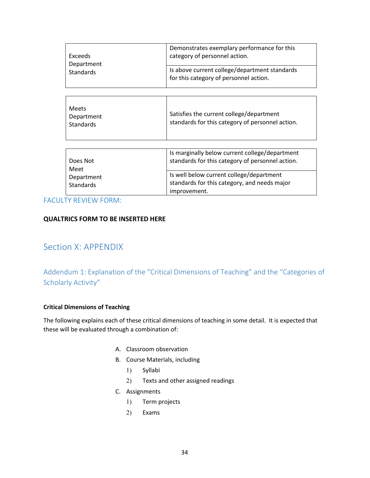| <b>Exceeds</b><br>Department<br><b>Standards</b>   | Demonstrates exemplary performance for this<br>category of personnel action.                             |
|----------------------------------------------------|----------------------------------------------------------------------------------------------------------|
|                                                    | Is above current college/department standards<br>for this category of personnel action.                  |
|                                                    |                                                                                                          |
| <b>Meets</b><br>Department<br><b>Standards</b>     | Satisfies the current college/department<br>standards for this category of personnel action.             |
|                                                    |                                                                                                          |
| Does Not<br>Meet<br>Department<br><b>Standards</b> | Is marginally below current college/department<br>standards for this category of personnel action.       |
|                                                    | Is well below current college/department<br>standards for this category, and needs major<br>improvement. |

FACULTY REVIEW FORM:

## **QUALTRICS FORM TO BE INSERTED HERE**

## <span id="page-34-0"></span>Section X: APPENDIX

## <span id="page-34-1"></span>Addendum 1: Explanation of the "Critical Dimensions of Teaching" and the "Categories of Scholarly Activity"

## **Critical Dimensions of Teaching**

The following explains each of these critical dimensions of teaching in some detail. It is expected that these will be evaluated through a combination of:

- A. Classroom observation
- B. Course Materials, including
	- 1) Syllabi
	- 2) Texts and other assigned readings
- C. Assignments
	- 1) Term projects
	- 2) Exams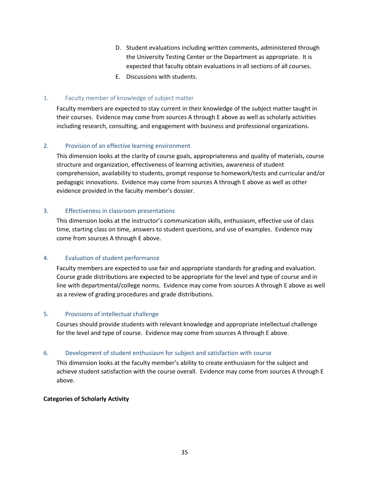- D. Student evaluations including written comments, administered through the University Testing Center or the Department as appropriate. It is expected that faculty obtain evaluations in all sections of all courses.
- E. Discussions with students.

#### 1. Faculty member of knowledge of subject matter

Faculty members are expected to stay current in their knowledge of the subject matter taught in their courses. Evidence may come from sources A through E above as well as scholarly activities including research, consulting, and engagement with business and professional organizations.

#### 2. Provision of an effective learning environment

This dimension looks at the clarity of course goals, appropriateness and quality of materials, course structure and organization, effectiveness of learning activities, awareness of student comprehension, availability to students, prompt response to homework/tests and curricular and/or pedagogic innovations. Evidence may come from sources A through E above as well as other evidence provided in the faculty member's dossier.

#### 3. Effectiveness in classroom presentations

This dimension looks at the instructor's communication skills, enthusiasm, effective use of class time, starting class on time, answers to student questions, and use of examples. Evidence may come from sources A through E above.

#### 4. Evaluation of student performance

Faculty members are expected to use fair and appropriate standards for grading and evaluation. Course grade distributions are expected to be appropriate for the level and type of course and in line with departmental/college norms. Evidence may come from sources A through E above as well as a review of grading procedures and grade distributions.

#### 5. Provisions of intellectual challenge

Courses should provide students with relevant knowledge and appropriate intellectual challenge for the level and type of course. Evidence may come from sources A through E above.

#### 6. Development of student enthusiasm for subject and satisfaction with course

This dimension looks at the faculty member's ability to create enthusiasm for the subject and achieve student satisfaction with the course overall. Evidence may come from sources A through E above.

#### **Categories of Scholarly Activity**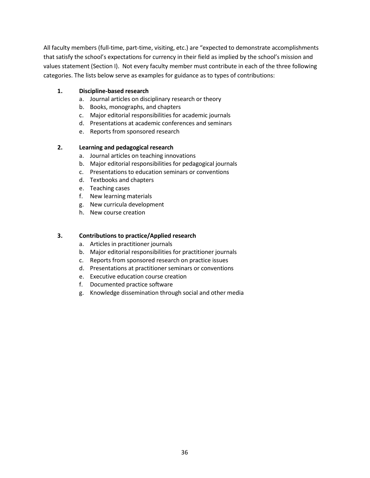All faculty members (full-time, part-time, visiting, etc.) are "expected to demonstrate accomplishments that satisfy the school's expectations for currency in their field as implied by the school's mission and values statement (Section I). Not every faculty member must contribute in each of the three following categories. The lists below serve as examples for guidance as to types of contributions:

## **1. Discipline-based research**

- a. Journal articles on disciplinary research or theory
- b. Books, monographs, and chapters
- c. Major editorial responsibilities for academic journals
- d. Presentations at academic conferences and seminars
- e. Reports from sponsored research

#### **2. Learning and pedagogical research**

- a. Journal articles on teaching innovations
- b. Major editorial responsibilities for pedagogical journals
- c. Presentations to education seminars or conventions
- d. Textbooks and chapters
- e. Teaching cases
- f. New learning materials
- g. New curricula development
- h. New course creation

#### **3. Contributions to practice/Applied research**

- a. Articles in practitioner journals
- b. Major editorial responsibilities for practitioner journals
- c. Reports from sponsored research on practice issues
- d. Presentations at practitioner seminars or conventions
- e. Executive education course creation
- f. Documented practice software
- g. Knowledge dissemination through social and other media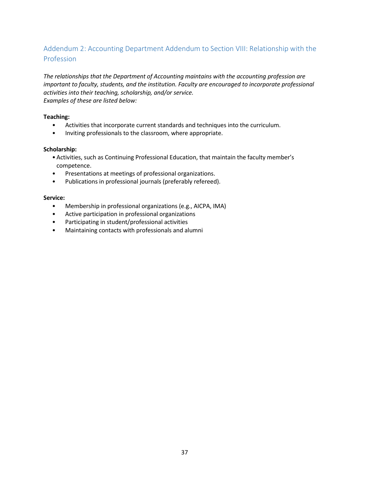## <span id="page-37-0"></span>Addendum 2: Accounting Department Addendum to Section VIII: Relationship with the Profession

*The relationships that the Department of Accounting maintains with the accounting profession are important to faculty, students, and the institution. Faculty are encouraged to incorporate professional activities into their teaching, scholarship, and/or service. Examples of these are listed below:*

#### **Teaching:**

- Activities that incorporate current standards and techniques into the curriculum.
- Inviting professionals to the classroom, where appropriate.

#### **Scholarship:**

- Activities, such as Continuing Professional Education, that maintain the faculty member's competence.
- Presentations at meetings of professional organizations.
- Publications in professional journals (preferably refereed).

#### **Service:**

- Membership in professional organizations (e.g., AICPA, IMA)
- Active participation in professional organizations
- Participating in student/professional activities
- Maintaining contacts with professionals and alumni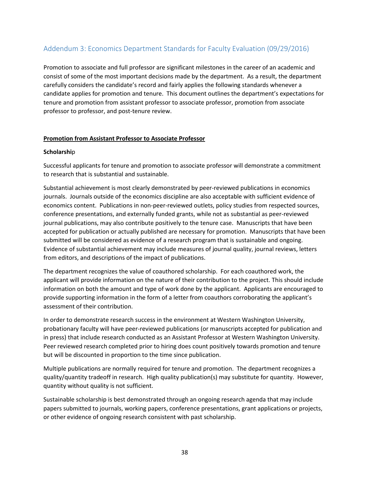## <span id="page-38-0"></span>Addendum 3: Economics Department Standards for Faculty Evaluation (09/29/2016)

Promotion to associate and full professor are significant milestones in the career of an academic and consist of some of the most important decisions made by the department. As a result, the department carefully considers the candidate's record and fairly applies the following standards whenever a candidate applies for promotion and tenure. This document outlines the department's expectations for tenure and promotion from assistant professor to associate professor, promotion from associate professor to professor, and post-tenure review.

#### **Promotion from Assistant Professor to Associate Professor**

#### **Scholarshi**p

Successful applicants for tenure and promotion to associate professor will demonstrate a commitment to research that is substantial and sustainable.

Substantial achievement is most clearly demonstrated by peer-reviewed publications in economics journals. Journals outside of the economics discipline are also acceptable with sufficient evidence of economics content. Publications in non-peer-reviewed outlets, policy studies from respected sources, conference presentations, and externally funded grants, while not as substantial as peer-reviewed journal publications, may also contribute positively to the tenure case. Manuscripts that have been accepted for publication or actually published are necessary for promotion. Manuscripts that have been submitted will be considered as evidence of a research program that is sustainable and ongoing. Evidence of substantial achievement may include measures of journal quality, journal reviews, letters from editors, and descriptions of the impact of publications.

The department recognizes the value of coauthored scholarship. For each coauthored work, the applicant will provide information on the nature of their contribution to the project. This should include information on both the amount and type of work done by the applicant. Applicants are encouraged to provide supporting information in the form of a letter from coauthors corroborating the applicant's assessment of their contribution.

In order to demonstrate research success in the environment at Western Washington University, probationary faculty will have peer-reviewed publications (or manuscripts accepted for publication and in press) that include research conducted as an Assistant Professor at Western Washington University. Peer reviewed research completed prior to hiring does count positively towards promotion and tenure but will be discounted in proportion to the time since publication.

Multiple publications are normally required for tenure and promotion. The department recognizes a quality/quantity tradeoff in research. High quality publication(s) may substitute for quantity. However, quantity without quality is not sufficient.

Sustainable scholarship is best demonstrated through an ongoing research agenda that may include papers submitted to journals, working papers, conference presentations, grant applications or projects, or other evidence of ongoing research consistent with past scholarship.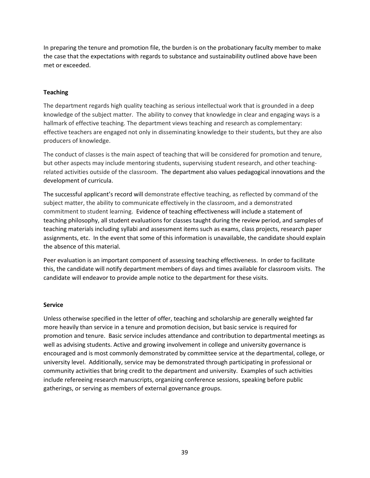In preparing the tenure and promotion file, the burden is on the probationary faculty member to make the case that the expectations with regards to substance and sustainability outlined above have been met or exceeded.

#### **Teaching**

The department regards high quality teaching as serious intellectual work that is grounded in a deep knowledge of the subject matter. The ability to convey that knowledge in clear and engaging ways is a hallmark of effective teaching. The department views teaching and research as complementary: effective teachers are engaged not only in disseminating knowledge to their students, but they are also producers of knowledge.

The conduct of classes is the main aspect of teaching that will be considered for promotion and tenure, but other aspects may include mentoring students, supervising student research, and other teachingrelated activities outside of the classroom. The department also values pedagogical innovations and the development of curricula.

The successful applicant's record will demonstrate effective teaching, as reflected by command of the subject matter, the ability to communicate effectively in the classroom, and a demonstrated commitment to student learning. Evidence of teaching effectiveness will include a statement of teaching philosophy, all student evaluations for classes taught during the review period, and samples of teaching materials including syllabi and assessment items such as exams, class projects, research paper assignments, etc. In the event that some of this information is unavailable, the candidate should explain the absence of this material.

Peer evaluation is an important component of assessing teaching effectiveness. In order to facilitate this, the candidate will notify department members of days and times available for classroom visits. The candidate will endeavor to provide ample notice to the department for these visits.

#### **Service**

Unless otherwise specified in the letter of offer, teaching and scholarship are generally weighted far more heavily than service in a tenure and promotion decision, but basic service is required for promotion and tenure. Basic service includes attendance and contribution to departmental meetings as well as advising students. Active and growing involvement in college and university governance is encouraged and is most commonly demonstrated by committee service at the departmental, college, or university level. Additionally, service may be demonstrated through participating in professional or community activities that bring credit to the department and university. Examples of such activities include refereeing research manuscripts, organizing conference sessions, speaking before public gatherings, or serving as members of external governance groups.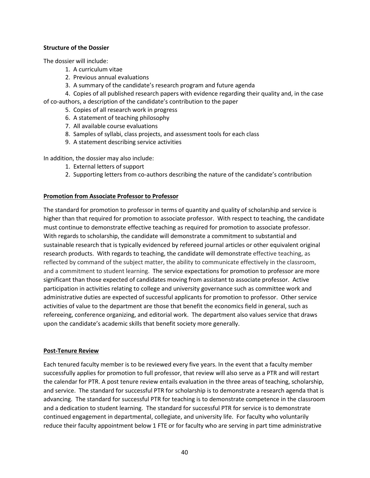#### **Structure of the Dossier**

The dossier will include:

- 1. A curriculum vitae
- 2. Previous annual evaluations
- 3. A summary of the candidate's research program and future agenda

4. Copies of all published research papers with evidence regarding their quality and, in the case of co-authors, a description of the candidate's contribution to the paper

- 5. Copies of all research work in progress
- 6. A statement of teaching philosophy
- 7. All available course evaluations
- 8. Samples of syllabi, class projects, and assessment tools for each class
- 9. A statement describing service activities

In addition, the dossier may also include:

- 1. External letters of support
- 2. Supporting letters from co-authors describing the nature of the candidate's contribution

## **Promotion from Associate Professor to Professor**

The standard for promotion to professor in terms of quantity and quality of scholarship and service is higher than that required for promotion to associate professor. With respect to teaching, the candidate must continue to demonstrate effective teaching as required for promotion to associate professor. With regards to scholarship, the candidate will demonstrate a commitment to substantial and sustainable research that is typically evidenced by refereed journal articles or other equivalent original research products. With regards to teaching, the candidate will demonstrate effective teaching, as reflected by command of the subject matter, the ability to communicate effectively in the classroom, and a commitment to student learning. The service expectations for promotion to professor are more significant than those expected of candidates moving from assistant to associate professor. Active participation in activities relating to college and university governance such as committee work and administrative duties are expected of successful applicants for promotion to professor. Other service activities of value to the department are those that benefit the economics field in general, such as refereeing, conference organizing, and editorial work. The department also values service that draws upon the candidate's academic skills that benefit society more generally.

#### **Post-Tenure Review**

Each tenured faculty member is to be reviewed every five years. In the event that a faculty member successfully applies for promotion to full professor, that review will also serve as a PTR and will restart the calendar for PTR. A post tenure review entails evaluation in the three areas of teaching, scholarship, and service. The standard for successful PTR for scholarship is to demonstrate a research agenda that is advancing. The standard for successful PTR for teaching is to demonstrate competence in the classroom and a dedication to student learning. The standard for successful PTR for service is to demonstrate continued engagement in departmental, collegiate, and university life. For faculty who voluntarily reduce their faculty appointment below 1 FTE or for faculty who are serving in part time administrative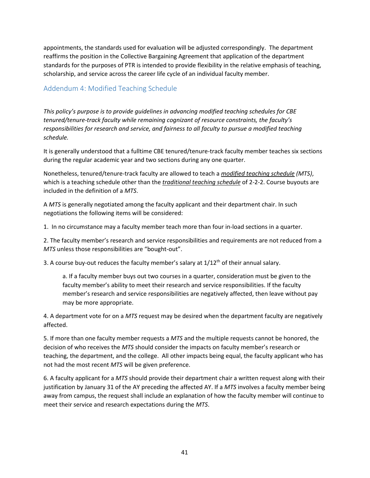appointments, the standards used for evaluation will be adjusted correspondingly. The department reaffirms the position in the Collective Bargaining Agreement that application of the department standards for the purposes of PTR is intended to provide flexibility in the relative emphasis of teaching, scholarship, and service across the career life cycle of an individual faculty member.

## <span id="page-41-0"></span>Addendum 4: Modified Teaching Schedule

*This policy's purpose is to provide guidelines in advancing modified teaching schedules for CBE tenured/tenure-track faculty while remaining cognizant of resource constraints, the faculty's responsibilities for research and service, and fairness to all faculty to pursue a modified teaching schedule.*

It is generally understood that a fulltime CBE tenured/tenure-track faculty member teaches six sections during the regular academic year and two sections during any one quarter.

Nonetheless, tenured/tenure-track faculty are allowed to teach a *modified teaching schedule (MTS)*, which is a teaching schedule other than the *traditional teaching schedule* of 2-2-2. Course buyouts are included in the definition of a *MTS*.

A *MTS* is generally negotiated among the faculty applicant and their department chair. In such negotiations the following items will be considered:

1. In no circumstance may a faculty member teach more than four in-load sections in a quarter.

2. The faculty member's research and service responsibilities and requirements are not reduced from a *MTS* unless those responsibilities are "bought-out".

3. A course buy-out reduces the faculty member's salary at  $1/12<sup>th</sup>$  of their annual salary.

a. If a faculty member buys out two courses in a quarter, consideration must be given to the faculty member's ability to meet their research and service responsibilities. If the faculty member's research and service responsibilities are negatively affected, then leave without pay may be more appropriate.

4. A department vote for on a *MTS* request may be desired when the department faculty are negatively affected.

5. If more than one faculty member requests a *MTS* and the multiple requests cannot be honored, the decision of who receives the *MTS* should consider the impacts on faculty member's research or teaching, the department, and the college. All other impacts being equal, the faculty applicant who has not had the most recent *MTS* will be given preference.

6. A faculty applicant for a *MTS* should provide their department chair a written request along with their justification by January 31 of the AY preceding the affected AY. If a *MTS* involves a faculty member being away from campus, the request shall include an explanation of how the faculty member will continue to meet their service and research expectations during the *MTS*.